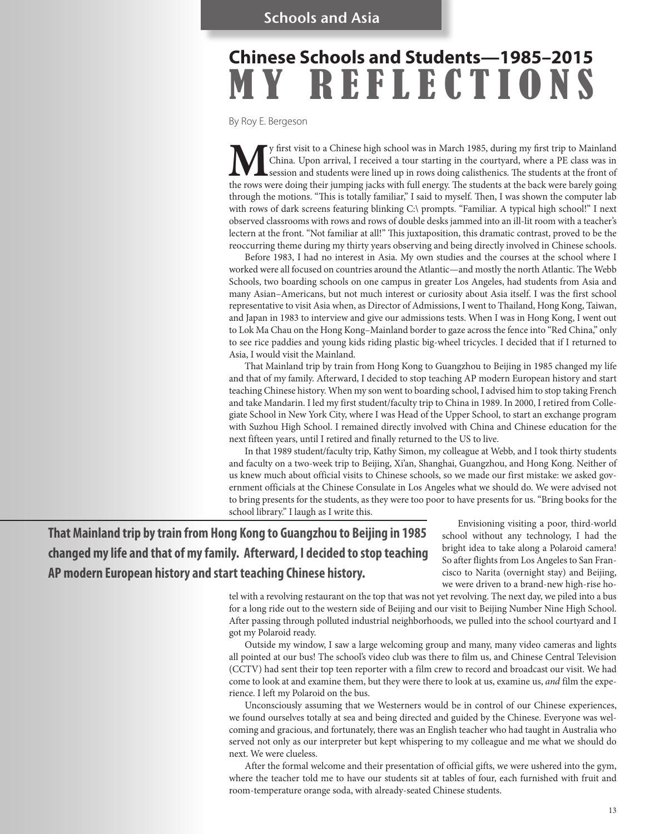# **Chinese Schools and Students—1985–2015** MY REFLECTIONS

By Roy E. Bergeson

**M**y first visit to a Chinese high school was in March 1985, during my first trip to Mainland China. Upon arrival, I received a tour starting in the courtyard, where a PE class was in session and students were lined up in China. Upon arrival, I received a tour starting in the courtyard, where a PE class was in session and students were lined up in rows doing calisthenics. The students at the front of the rows were doing their jumping jacks with full energy. The students at the back were barely going through the motions. "This is totally familiar," I said to myself. Then, I was shown the computer lab with rows of dark screens featuring blinking C:\ prompts. "Familiar. A typical high school!" I next observed classrooms with rows and rows of double desks jammed into an ill-lit room with a teacher's lectern at the front. "Not familiar at all!" This juxtaposition, this dramatic contrast, proved to be the reoccurring theme during my thirty years observing and being directly involved in Chinese schools.

Before 1983, I had no interest in Asia. My own studies and the courses at the school where I worked were all focused on countries around the Atlantic—and mostly the north Atlantic. The Webb Schools, two boarding schools on one campus in greater Los Angeles, had students from Asia and many Asian–Americans, but not much interest or curiosity about Asia itself. I was the first school representative to visit Asia when, as Director of Admissions, I went to Thailand, Hong Kong, Taiwan, and Japan in 1983 to interview and give our admissions tests. When I was in Hong Kong, I went out to Lok Ma Chau on the Hong Kong–Mainland border to gaze across the fence into "Red China," only to see rice paddies and young kids riding plastic big-wheel tricycles. I decided that if I returned to Asia, I would visit the Mainland.

That Mainland trip by train from Hong Kong to Guangzhou to Beijing in 1985 changed my life and that of my family. Afterward, I decided to stop teaching AP modern European history and start teaching Chinese history. When my son went to boarding school, I advised him to stop taking French and take Mandarin. I led my first student/faculty trip to China in 1989. In 2000, I retired from Collegiate School in New York City, where I was Head of the Upper School, to start an exchange program with Suzhou High School. I remained directly involved with China and Chinese education for the next fifteen years, until I retired and finally returned to the US to live.

In that 1989 student/faculty trip, Kathy Simon, my colleague at Webb, and I took thirty students and faculty on a two-week trip to Beijing, Xi'an, Shanghai, Guangzhou, and Hong Kong. Neither of us knew much about official visits to Chinese schools, so we made our first mistake: we asked government officials at the Chinese Consulate in Los Angeles what we should do. We were advised not to bring presents for the students, as they were too poor to have presents for us. "Bring books for the school library." I laugh as I write this.

**That Mainland trip by train from Hong Kong to Guangzhou to Beijing in 1985 changed my life and that of my family. Afterward, I decided to stop teaching AP modern European history and start teaching Chinese history.**

Envisioning visiting a poor, third-world school without any technology, I had the bright idea to take along a Polaroid camera! So after flights from Los Angeles to San Francisco to Narita (overnight stay) and Beijing, we were driven to a brand-new high-rise ho-

tel with a revolving restaurant on the top that was not yet revolving. The next day, we piled into a bus for a long ride out to the western side of Beijing and our visit to Beijing Number Nine High School. After passing through polluted industrial neighborhoods, we pulled into the school courtyard and I got my Polaroid ready.

Outside my window, I saw a large welcoming group and many, many video cameras and lights all pointed at our bus! The school's video club was there to film us, and Chinese Central Television (CCTV) had sent their top teen reporter with a film crew to record and broadcast our visit. We had come to look at and examine them, but they were there to look at us, examine us, *and* film the experience. I left my Polaroid on the bus.

Unconsciously assuming that we Westerners would be in control of our Chinese experiences, we found ourselves totally at sea and being directed and guided by the Chinese. Everyone was welcoming and gracious, and fortunately, there was an English teacher who had taught in Australia who served not only as our interpreter but kept whispering to my colleague and me what we should do next. We were clueless.

After the formal welcome and their presentation of official gifts, we were ushered into the gym, where the teacher told me to have our students sit at tables of four, each furnished with fruit and room-temperature orange soda, with already-seated Chinese students.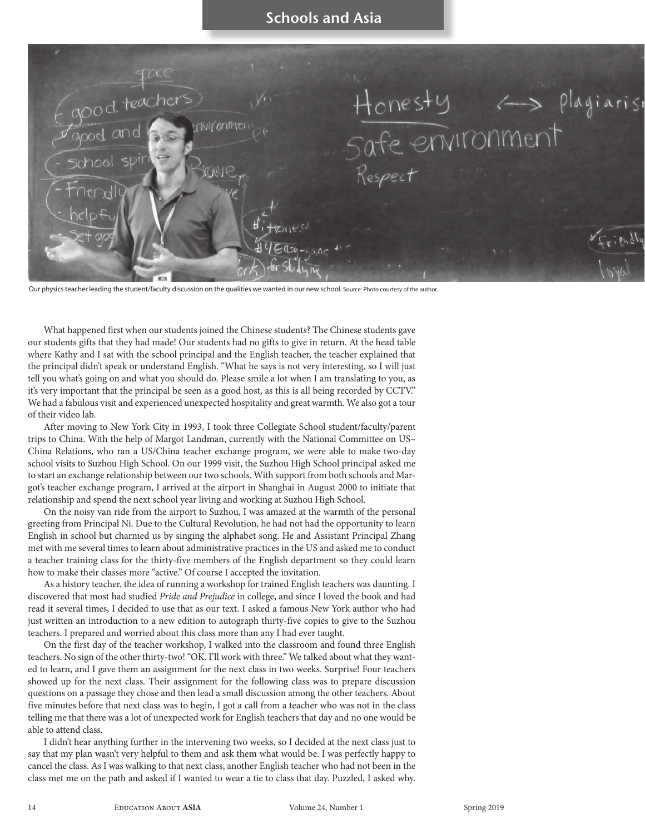

Our physics teacher leading the student/faculty discussion on the qualities we wanted in our new school. Source: Photo courtesy of the author.

What happened first when our students joined the Chinese students? The Chinese students gave our students gifts that they had made! Our students had no gifts to give in return. At the head table where Kathy and I sat with the school principal and the English teacher, the teacher explained that the principal didn't speak or understand English. "What he says is not very interesting, so I will just tell you what's going on and what you should do. Please smile a lot when I am translating to you, as it's very important that the principal be seen as a good host, as this is all being recorded by CCTV." We had a fabulous visit and experienced unexpected hospitality and great warmth. We also got a tour of their video lab.

After moving to New York City in 1993, I took three Collegiate School student/faculty/parent trips to China. With the help of Margot Landman, currently with the National Committee on US– China Relations, who ran a US/China teacher exchange program, we were able to make two-day school visits to Suzhou High School. On our 1999 visit, the Suzhou High School principal asked me to start an exchange relationship between our two schools. With support from both schools and Margot's teacher exchange program, I arrived at the airport in Shanghai in August 2000 to initiate that relationship and spend the next school year living and working at Suzhou High School.

On the noisy van ride from the airport to Suzhou, I was amazed at the warmth of the personal greeting from Principal Ni. Due to the Cultural Revolution, he had not had the opportunity to learn English in school but charmed us by singing the alphabet song. He and Assistant Principal Zhang met with me several times to learn about administrative practices in the US and asked me to conduct a teacher training class for the thirty-five members of the English department so they could learn how to make their classes more "active." Of course I accepted the invitation.

As a history teacher, the idea of running a workshop for trained English teachers was daunting. I discovered that most had studied *Pride and Prejudice* in college, and since I loved the book and had read it several times, I decided to use that as our text. I asked a famous New York author who had just written an introduction to a new edition to autograph thirty-five copies to give to the Suzhou teachers. I prepared and worried about this class more than any I had ever taught.

On the first day of the teacher workshop, I walked into the classroom and found three English teachers. No sign of the other thirty-two! "OK. I'll work with three." We talked about what they wanted to learn, and I gave them an assignment for the next class in two weeks. Surprise! Four teachers showed up for the next class. Their assignment for the following class was to prepare discussion questions on a passage they chose and then lead a small discussion among the other teachers. About five minutes before that next class was to begin, I got a call from a teacher who was not in the class telling me that there was a lot of unexpected work for English teachers that day and no one would be able to attend class.

I didn't hear anything further in the intervening two weeks, so I decided at the next class just to say that my plan wasn't very helpful to them and ask them what would be. I was perfectly happy to cancel the class. As I was walking to that next class, another English teacher who had not been in the class met me on the path and asked if I wanted to wear a tie to class that day. Puzzled, I asked why.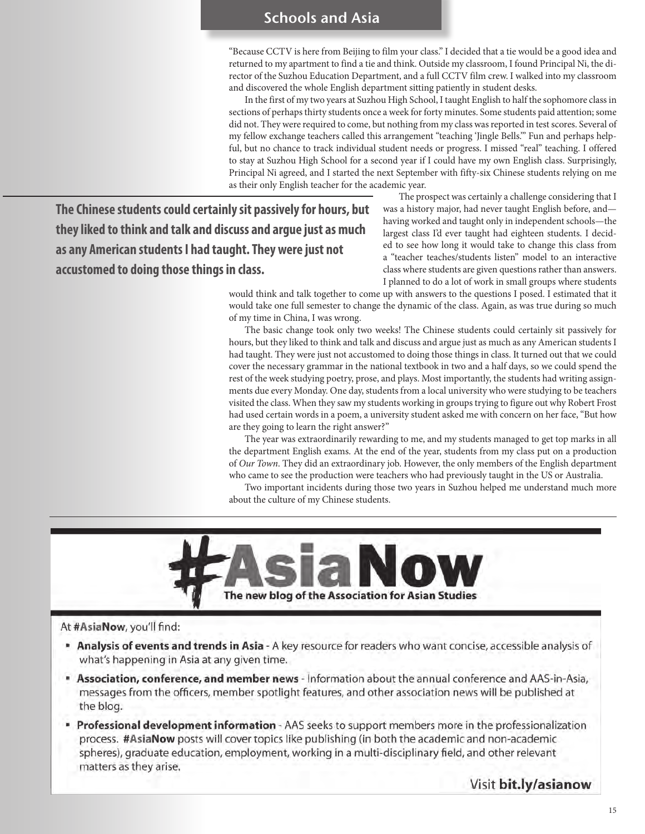"Because CCTV is here from Beijing to film your class." I decided that a tie would be a good idea and returned to my apartment to find a tie and think. Outside my classroom, I found Principal Ni, the director of the Suzhou Education Department, and a full CCTV film crew. I walked into my classroom and discovered the whole English department sitting patiently in student desks.

In the first of my two years at Suzhou High School, I taught English to half the sophomore class in sections of perhaps thirty students once a week for forty minutes. Some students paid attention; some did not. They were required to come, but nothing from my class was reported in test scores. Several of my fellow exchange teachers called this arrangement "teaching 'Jingle Bells.'" Fun and perhaps helpful, but no chance to track individual student needs or progress. I missed "real" teaching. I offered to stay at Suzhou High School for a second year if I could have my own English class. Surprisingly, Principal Ni agreed, and I started the next September with fifty-six Chinese students relying on me as their only English teacher for the academic year.

**The Chinese students could certainly sit passively for hours, but they liked to think and talk and discuss and argue just as much as any American students I had taught. They were just not accustomed to doing those things in class.**

The prospect was certainly a challenge considering that I was a history major, had never taught English before, and having worked and taught only in independent schools—the largest class I'd ever taught had eighteen students. I decided to see how long it would take to change this class from a "teacher teaches/students listen" model to an interactive class where students are given questions rather than answers. I planned to do a lot of work in small groups where students

would think and talk together to come up with answers to the questions I posed. I estimated that it would take one full semester to change the dynamic of the class. Again, as was true during so much of my time in China, I was wrong.

The basic change took only two weeks! The Chinese students could certainly sit passively for hours, but they liked to think and talk and discuss and argue just as much as any American students I had taught. They were just not accustomed to doing those things in class. It turned out that we could cover the necessary grammar in the national textbook in two and a half days, so we could spend the rest of the week studying poetry, prose, and plays. Most importantly, the students had writing assignments due every Monday. One day, students from a local university who were studying to be teachers visited the class. When they saw my students working in groups trying to figure out why Robert Frost had used certain words in a poem, a university student asked me with concern on her face, "But how are they going to learn the right answer?"

The year was extraordinarily rewarding to me, and my students managed to get top marks in all the department English exams. At the end of the year, students from my class put on a production of *Our Town*. They did an extraordinary job. However, the only members of the English department who came to see the production were teachers who had previously taught in the US or Australia.

Two important incidents during those two years in Suzhou helped me understand much more about the culture of my Chinese students.



#### At #AsiaNow, you'll find:

- Analysis of events and trends in Asia A key resource for readers who want concise, accessible analysis of what's happening in Asia at any given time.
- Association, conference, and member news Information about the annual conference and AAS-in-Asia, messages from the officers, member spotlight features, and other association news will be published at the blog.
- Professional development information AAS seeks to support members more in the professionalization process. #AsiaNow posts will cover topics like publishing (in both the academic and non-academic spheres), graduate education, employment, working in a multi-disciplinary field, and other relevant matters as they arise.

Visit bit.ly/asianow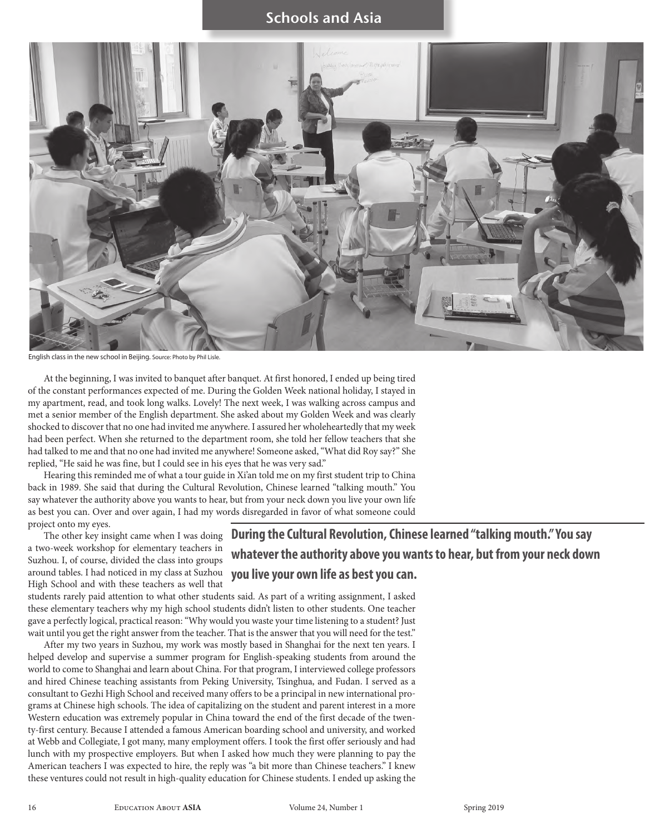

English class in the new school in Beijing. Source: Photo by Phil Lisle.

At the beginning, I was invited to banquet after banquet. At first honored, I ended up being tired of the constant performances expected of me. During the Golden Week national holiday, I stayed in my apartment, read, and took long walks. Lovely! The next week, I was walking across campus and met a senior member of the English department. She asked about my Golden Week and was clearly shocked to discover that no one had invited me anywhere. I assured her wholeheartedly that my week had been perfect. When she returned to the department room, she told her fellow teachers that she had talked to me and that no one had invited me anywhere! Someone asked, "What did Roy say?" She replied, "He said he was fine, but I could see in his eyes that he was very sad."

Hearing this reminded me of what a tour guide in Xi'an told me on my first student trip to China back in 1989. She said that during the Cultural Revolution, Chinese learned "talking mouth." You say whatever the authority above you wants to hear, but from your neck down you live your own life as best you can. Over and over again, I had my words disregarded in favor of what someone could project onto my eyes.

The other key insight came when I was doing a two-week workshop for elementary teachers in Suzhou. I, of course, divided the class into groups around tables. I had noticed in my class at Suzhou High School and with these teachers as well that

**whatever the authority above you wants to hear, but from your neck down you live your own life as best you can.** 

**During the Cultural Revolution, Chinese learned "talking mouth." You say** 

students rarely paid attention to what other students said. As part of a writing assignment, I asked these elementary teachers why my high school students didn't listen to other students. One teacher gave a perfectly logical, practical reason: "Why would you waste your time listening to a student? Just wait until you get the right answer from the teacher. That is the answer that you will need for the test."

After my two years in Suzhou, my work was mostly based in Shanghai for the next ten years. I helped develop and supervise a summer program for English-speaking students from around the world to come to Shanghai and learn about China. For that program, I interviewed college professors and hired Chinese teaching assistants from Peking University, Tsinghua, and Fudan. I served as a consultant to Gezhi High School and received many offers to be a principal in new international programs at Chinese high schools. The idea of capitalizing on the student and parent interest in a more Western education was extremely popular in China toward the end of the first decade of the twenty-first century. Because I attended a famous American boarding school and university, and worked at Webb and Collegiate, I got many, many employment offers. I took the first offer seriously and had lunch with my prospective employers. But when I asked how much they were planning to pay the American teachers I was expected to hire, the reply was "a bit more than Chinese teachers." I knew these ventures could not result in high-quality education for Chinese students. I ended up asking the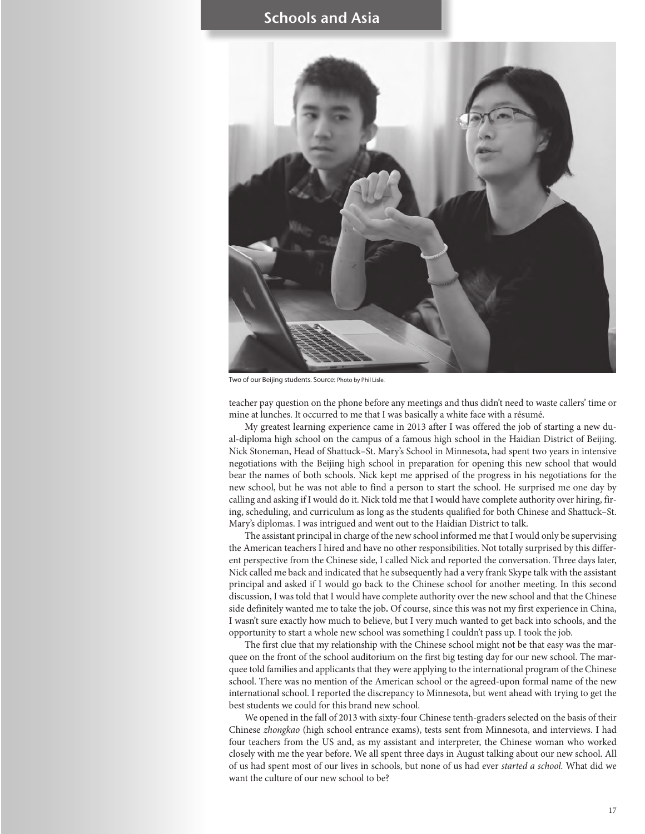

Two of our Beijing students. Source: Photo by Phil Lisle.

teacher pay question on the phone before any meetings and thus didn't need to waste callers' time or mine at lunches. It occurred to me that I was basically a white face with a résumé.

My greatest learning experience came in 2013 after I was offered the job of starting a new dual-diploma high school on the campus of a famous high school in the Haidian District of Beijing. Nick Stoneman, Head of Shattuck–St. Mary's School in Minnesota, had spent two years in intensive negotiations with the Beijing high school in preparation for opening this new school that would bear the names of both schools. Nick kept me apprised of the progress in his negotiations for the new school, but he was not able to find a person to start the school. He surprised me one day by calling and asking if I would do it. Nick told me that I would have complete authority over hiring, firing, scheduling, and curriculum as long as the students qualified for both Chinese and Shattuck–St. Mary's diplomas. I was intrigued and went out to the Haidian District to talk.

The assistant principal in charge of the new school informed me that I would only be supervising the American teachers I hired and have no other responsibilities. Not totally surprised by this different perspective from the Chinese side, I called Nick and reported the conversation. Three days later, Nick called me back and indicated that he subsequently had a very frank Skype talk with the assistant principal and asked if I would go back to the Chinese school for another meeting. In this second discussion, I was told that I would have complete authority over the new school and that the Chinese side definitely wanted me to take the job**.** Of course, since this was not my first experience in China, I wasn't sure exactly how much to believe, but I very much wanted to get back into schools, and the opportunity to start a whole new school was something I couldn't pass up. I took the job.

The first clue that my relationship with the Chinese school might not be that easy was the marquee on the front of the school auditorium on the first big testing day for our new school. The marquee told families and applicants that they were applying to the international program of the Chinese school. There was no mention of the American school or the agreed-upon formal name of the new international school. I reported the discrepancy to Minnesota, but went ahead with trying to get the best students we could for this brand new school.

We opened in the fall of 2013 with sixty-four Chinese tenth-graders selected on the basis of their Chinese *zhongkao* (high school entrance exams), tests sent from Minnesota, and interviews. I had four teachers from the US and, as my assistant and interpreter, the Chinese woman who worked closely with me the year before. We all spent three days in August talking about our new school. All of us had spent most of our lives in schools, but none of us had ever *started a school.* What did we want the culture of our new school to be?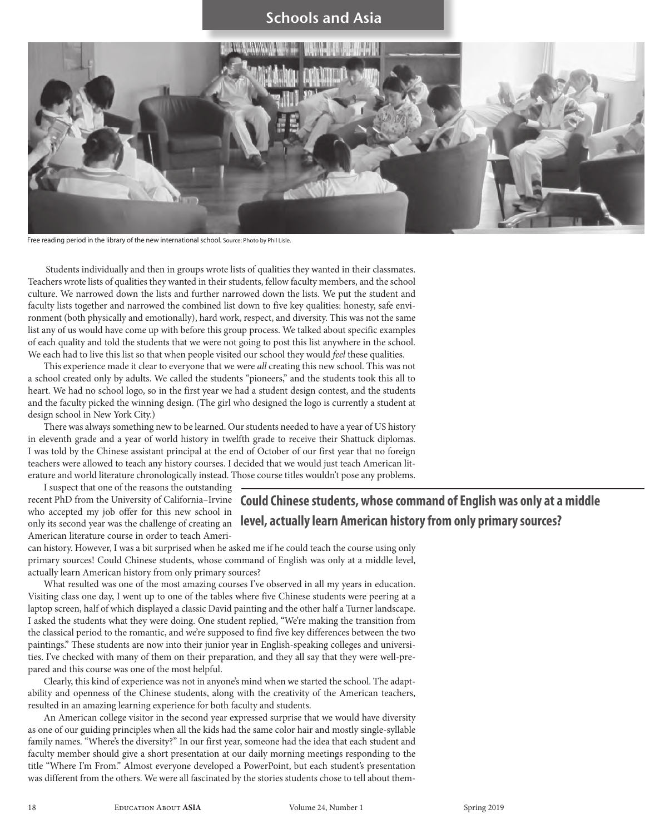

Free reading period in the library of the new international school. Source: Photo by Phil Lisle.

Students individually and then in groups wrote lists of qualities they wanted in their classmates. Teachers wrote lists of qualities they wanted in their students, fellow faculty members, and the school culture. We narrowed down the lists and further narrowed down the lists. We put the student and faculty lists together and narrowed the combined list down to five key qualities: honesty, safe environment (both physically and emotionally), hard work, respect, and diversity. This was not the same list any of us would have come up with before this group process. We talked about specific examples of each quality and told the students that we were not going to post this list anywhere in the school. We each had to live this list so that when people visited our school they would *feel* these qualities.

This experience made it clear to everyone that we were *all* creating this new school. This was not a school created only by adults. We called the students "pioneers," and the students took this all to heart. We had no school logo, so in the first year we had a student design contest, and the students and the faculty picked the winning design. (The girl who designed the logo is currently a student at design school in New York City.)

There was always something new to be learned. Our students needed to have a year of US history in eleventh grade and a year of world history in twelfth grade to receive their Shattuck diplomas. I was told by the Chinese assistant principal at the end of October of our first year that no foreign teachers were allowed to teach any history courses. I decided that we would just teach American literature and world literature chronologically instead. Those course titles wouldn't pose any problems.

I suspect that one of the reasons the outstanding recent PhD from the University of California–Irvine who accepted my job offer for this new school in only its second year was the challenge of creating an American literature course in order to teach Ameri-

**Could Chinese students, whose command of English was only at a middle level, actually learn American history from only primary sources?** 

can history. However, I was a bit surprised when he asked me if he could teach the course using only primary sources! Could Chinese students, whose command of English was only at a middle level, actually learn American history from only primary sources?

What resulted was one of the most amazing courses I've observed in all my years in education. Visiting class one day, I went up to one of the tables where five Chinese students were peering at a laptop screen, half of which displayed a classic David painting and the other half a Turner landscape. I asked the students what they were doing. One student replied, "We're making the transition from the classical period to the romantic, and we're supposed to find five key differences between the two paintings." These students are now into their junior year in English-speaking colleges and universities. I've checked with many of them on their preparation, and they all say that they were well-prepared and this course was one of the most helpful.

Clearly, this kind of experience was not in anyone's mind when we started the school. The adaptability and openness of the Chinese students, along with the creativity of the American teachers, resulted in an amazing learning experience for both faculty and students.

An American college visitor in the second year expressed surprise that we would have diversity as one of our guiding principles when all the kids had the same color hair and mostly single-syllable family names. "Where's the diversity?" In our first year, someone had the idea that each student and faculty member should give a short presentation at our daily morning meetings responding to the title "Where I'm From." Almost everyone developed a PowerPoint, but each student's presentation was different from the others. We were all fascinated by the stories students chose to tell about them-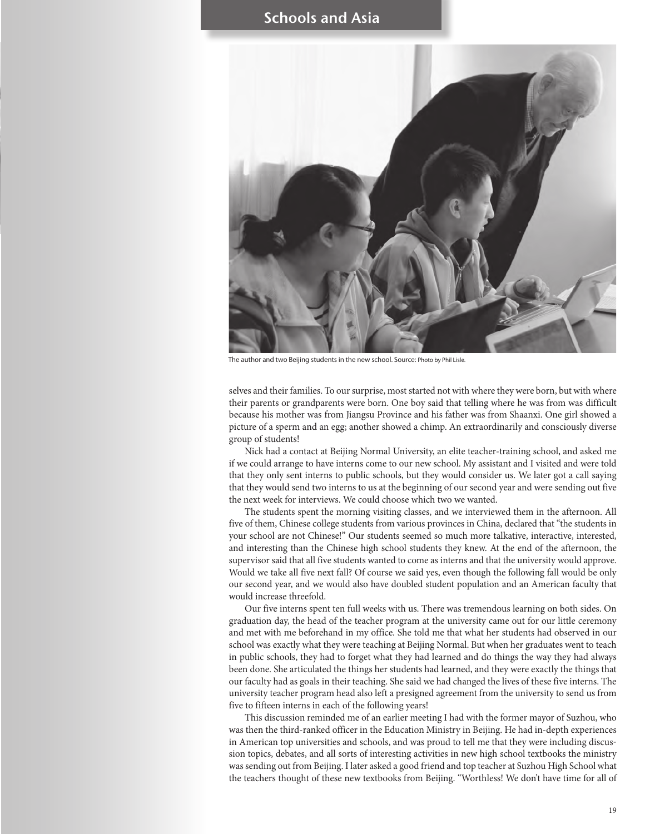

The author and two Beijing students in the new school. Source: Photo by Phil Lisle.

selves and their families. To our surprise, most started not with where they were born, but with where their parents or grandparents were born. One boy said that telling where he was from was difficult because his mother was from Jiangsu Province and his father was from Shaanxi. One girl showed a picture of a sperm and an egg; another showed a chimp. An extraordinarily and consciously diverse group of students!

Nick had a contact at Beijing Normal University, an elite teacher-training school, and asked me if we could arrange to have interns come to our new school. My assistant and I visited and were told that they only sent interns to public schools, but they would consider us. We later got a call saying that they would send two interns to us at the beginning of our second year and were sending out five the next week for interviews. We could choose which two we wanted.

The students spent the morning visiting classes, and we interviewed them in the afternoon. All five of them, Chinese college students from various provinces in China, declared that "the students in your school are not Chinese!" Our students seemed so much more talkative, interactive, interested, and interesting than the Chinese high school students they knew. At the end of the afternoon, the supervisor said that all five students wanted to come as interns and that the university would approve. Would we take all five next fall? Of course we said yes, even though the following fall would be only our second year, and we would also have doubled student population and an American faculty that would increase threefold.

Our five interns spent ten full weeks with us. There was tremendous learning on both sides. On graduation day, the head of the teacher program at the university came out for our little ceremony and met with me beforehand in my office. She told me that what her students had observed in our school was exactly what they were teaching at Beijing Normal. But when her graduates went to teach in public schools, they had to forget what they had learned and do things the way they had always been done. She articulated the things her students had learned, and they were exactly the things that our faculty had as goals in their teaching. She said we had changed the lives of these five interns. The university teacher program head also left a presigned agreement from the university to send us from five to fifteen interns in each of the following years!

This discussion reminded me of an earlier meeting I had with the former mayor of Suzhou, who was then the third-ranked officer in the Education Ministry in Beijing. He had in-depth experiences in American top universities and schools, and was proud to tell me that they were including discussion topics, debates, and all sorts of interesting activities in new high school textbooks the ministry was sending out from Beijing. I later asked a good friend and top teacher at Suzhou High School what the teachers thought of these new textbooks from Beijing. "Worthless! We don't have time for all of